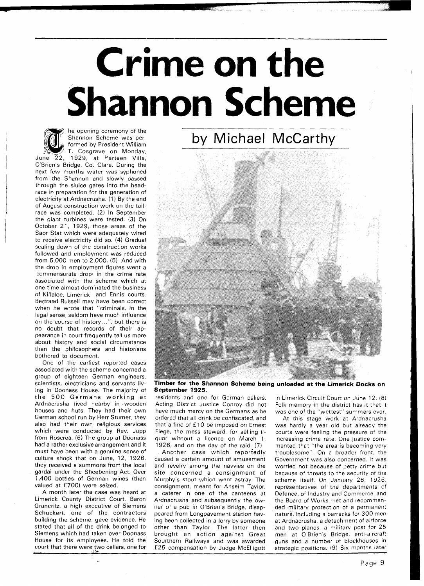## ime on the **Shannon Scheme**



he opening ceremony of the Shannon Scheme was performed by President William T. Cosgrave on Monday,

June 22, 1929, at Parteen Villa, O'Brien's Bridge, Co. Clare. During the next few months water was syphoned from the Shannon and slowly passed through the sluice gates into the headrace in preparation for the generation of electricity at Ardnacrusha. (1) By the end of August construction work on the tailrace was completed. (2) In September the giant turbines were tested. (3) On October 21, 1929, those areas of the Saor Stat which were adequately wired to receive electricity did so. (4) Gradual scaling down of the construction works fullowed and employment was reduced from 5,000 men to 2,000. (5) And with the drop in employment figures went a commensurate drop $\cdot$  in the crime rate associated with the scheme which at one time almost dominated the business of Killaloe, Limerick and Ennis courts. Bertrand Russell may have been correct when he wrote that "criminals, in the legal sense, seldom have much influence on the course of history. .", but there is no doubt that records of their appearance in court frequently tell us more about history and social circumstance than the philosophers and historians bothered to document.

One of the earliest reported cases associated with the scheme concerned a group of eighteen German engineers, scientists, electricians and servants living in Doonass House. The majority of the 500 Germans working at Ardnacrusha lived nearby in wooden houses and huts. They had their own German school run by Herr Stumer; they also had their own religious services which were conducted by Rev. Jupp from Roscrea. (6) The group at Doonass had a rather exclusive arrangement and it must have been with a genuine sense of culture shock that on June, 12, 1926, they received a summons from the local gardai under the Sheebening Act. Over 1,400 bottles of German wines (then valued at £700) were seized.

A month later the case was heard at Limerick County District Court. Baron Graneritz, a high executive of Siemens Schuckert, one of the contractors building the scheme, gave evidence. He stated that all of the drink belonged to Siemens which had taken over Doonass House for its employees. He told the court that there were two cellars, one for



**Timber for the Shannon Scheme being unloaded at the Limerick Docks on September 1925.** 

residents and one for German callers. Acting District Justice Conroy did not have much mercy on the Germans as he ordered that all drink be confiscated, and that a fine of f 10 be imposed on Ernest Fiege, the mess steward, for selling liquor without a licence on March 1, 1926, and on the day of the raid. (7)

Another case which reportedly caused a certain amount of amusement and revelry among the navvies on the site concerned a consignment of Murphy's stout which went astray. The consignment, meant for Anselm Taylor, a caterer in one of the canteens at Ardnacrusha and subsequently the owner of a pub in O'Brien's Bridge, disappeared from Longpavement station having been collected in a lorry by someone other than Taylor. The latter then brought an action against Great Sourthern Railways and was awarded E25 compensation by Judge McElligott

in Limerick Circuit Court on June 12. (8) Folk memory in the district has it that it was one of the "wettest" summers ever.

At this stage work at Ardnacrusha was hardly a year old but already the courts were feeling the pressure of the increasing crime rate. One justice commented that "the area is becoming very troublesome". On a broader front, the Government was also concerned. It was worried not because of petty crime but because of threats to the security of the scheme itself. On January 26, 1926. representatives of the departments of Defence, of Industry and Commerce, and the Board of Works met and recommended military protection of a permanent nature, including a barracks for 300 men at Ardnacrusha, a detachment of airforce and two planes, a military post for 25 men at O'Brien's Bridge. anti-aircraft guns and a number of blockhouses in strategic positions. (9) Six months later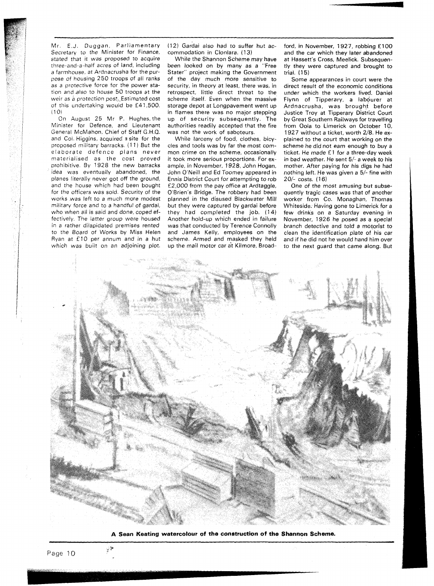Mr. E.J. Duggan, Parliamentary Secretary to the Minister for Finance, stated that it was proposed to acquire three-and-a-half acres of land, including a farmhouse, at Ardnacrusha for the purpose of housing 250 troops of all ranks as a protective force for the power station and also to house 50 troops at the weir as a protection post. Estimated cost of this undertaking would be £41,500.  $(10)$ 

On August 25 Mr P. Hughes,the Minister for Defence, and Lieutenant General McMahon, Chief of Staff G.H.Q. and Col. Higgins, acquired **3** site for the proposed military barracks. (1 1) But the elaborate defence plans never materialised as the cost proved prohibitive. By 1928 the new barracks idea was eventually abandoned, the planes literally never got off the ground, and the house which had been bought for the officers was sold. Security of the works was left to a much more modest military force and to a handful of gardai, who when all is said and done, coped effectively. The latter group were housed in a rather dilapidated premises rented to the Board of Works by Miss Helen Ryan at £10 per annum and in a hut which was built on an adjoining plot.

(12) Gardai also had to suffer hut accommodation in Clonlara. (13)

While the Shannon Scheme may have been looked on by many as a "Free Stater" project making the Government of the day much more sensitive to security, in theory at least, there was, in retrospect, little direct threat to the scheme itself. Even when the massive storage depot at Longpavement went up in flames there was no major stepping up of security subsequently. The authorities readily accepted that the fire was not the work of saboteurs.

While larceny of food, clothes, bicycles and tools was by far the most common crime on the scheme, occasionally it took more serious proportions. For example, in November, 1928, John Hogan, John O'Neill and Ed Toomey appeared in Ennis District Court for attempting to rob £2,000 from the pay office at Ardtaggle, O'Brien's Bridge. The robbery had been planned in the disused Blackwater Mill but they were captured by gardai before they had completed the job. (14) Another hold-up which ended in failure was that conducted by Terence Connolly and James Kelly, employees on the scheme. Armed and masked they held up the mail motor car **a't** Kilmore, Broadford, in November, 1927, robbing £100 and the car which they later abandoned at Hassett's Cross, Meelick. Subsequently they were captured and brought to trial. (1 5)

Some appearances in court were the direct result of the economic conditions under which the workers lived. Daniel Flynn of Tipperary, a labourer at Ardnacrusha, was brought before Justice Troy at Tipperary District Court by Great Southern Railways for travelling from Oola to Limerick on October 10, 1927 without a ticket, worth 2/8. He explained to the court that working on the scheme he did not earn enough to buy a ticket. He made £1 for a three-day week in bad weather. He sent 5/- a week to his mother. After paying for his digs he had nothing left. He was given a 5/- fine with 20/- costs. **(1** 6)

One of the most amusing but subsequently tragic cases was that of another worker from Co. Monaghan, Thomas Whiteside. Having gone to Limerick for a few drinks on a Saturday evening in November, 1926 he posed as a special branch detective and told a motorist to clean the identification plate of his car and if he did not he would hand him over to the next guard that came along. But



**A Sean Keating watercolour of the construction of the Shannon Scheme.** 

ی نړ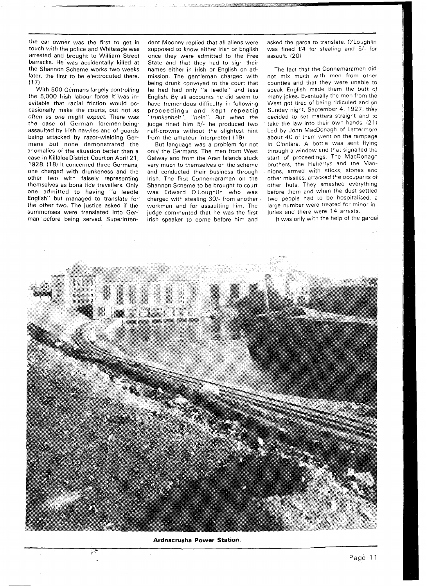the car owner was the first to get in touch with the police and Whiteside was arrested and brought to William Street barracks. He was accidentally killed at the Shannon Scheme works two weeks later, the first to be electrocuted there.  $(17)$ 

With 500 Germans largely controlling the 5,000 lrish labour force it was inevitable that racial friction would occasionally make the courts, but not as often as one might expect. There was the case of German foremen being' assaulted by lrish navvies and of guards being attacked by razor-wielding Germans but none demonstrated the anomalies of the situation better than a case in Killaloe District Courton April 2 1, 1928. (18) It concerned three Germans, one charged with drunkeness and the other two with falsely representing themselves as bona fide travellers. Only one admitted to having "a leedle English" but managed to translate for the other two. The justice asked if the summonses were translated into German before being served. Superinten-

> & **2** \*

dent Mooney replied that all aliens were supposed to know either lrish or English once they were admitted to the Free State and that they had to sign their names either in lrish or English on admission. The gentleman charged with being drunk conveyed to the court that he had had only "a leedle" and less English. By all accounts he did seem to have tremendous difficulty in following proceedings and kept repeatig "trunkenheit", "nein". But when the judge fined him 5/- he produced two half-crowns without the slightest hint from the amateur interpreter! (19)

But language was a problem for not only the Germans. The men from West Galway and from the Aran Islands stuck very much to themselves on the scheme and conducted their business through Irish. The first Connemaraman on the Shannon Scheme to be brought to court was Edward O'Loughlin who was charged with stealing  $30/$ - from another workman and for assaulting him. The judge commented that he was the first lrish speaker to come before him and

asked the garda to translate. O'Loughlin was fined £4 for stealing and 5/- for assault. (20)

The fact that the Connemaramen did not mix much with men from other counties and that they were unable to speak English made them the butt of many jokes. Eventually the men from the West got tired of being ridiculed and on Sunday night, September 4, 1927, they decided to set matters straight and to take the law into their own hands. (21) Led by John MacDonagh of Lettermore about 40 of them went on the rampage in Clonlara. A bottle was sent flying through a window and that signalled the start of proceedings. The MacDonagh brothers, the Flahertys and the Mannions, armed with sticks, stones and other missiles. attacked the occupants of other huts. They smashed everything before them and when the dust settled two people had to be hospitalised, a large number were treated for minor injuries and there were 14 arrests.

It was only with the help of the gardai



**Ardnacrusha Power Station.**